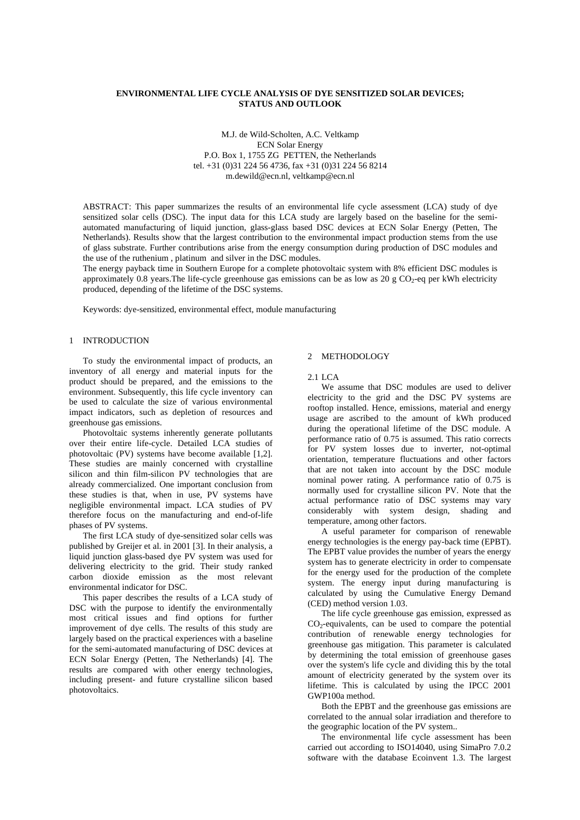# **ENVIRONMENTAL LIFE CYCLE ANALYSIS OF DYE SENSITIZED SOLAR DEVICES; STATUS AND OUTLOOK**

M.J. de Wild-Scholten, A.C. Veltkamp ECN Solar Energy P.O. Box 1, 1755 ZG PETTEN, the Netherlands tel. +31 (0)31 224 56 4736, fax +31 (0)31 224 56 8214 m.dewild@ecn.nl, veltkamp@ecn.nl

ABSTRACT: This paper summarizes the results of an environmental life cycle assessment (LCA) study of dye sensitized solar cells (DSC). The input data for this LCA study are largely based on the baseline for the semiautomated manufacturing of liquid junction, glass-glass based DSC devices at ECN Solar Energy (Petten, The Netherlands). Results show that the largest contribution to the environmental impact production stems from the use of glass substrate. Further contributions arise from the energy consumption during production of DSC modules and the use of the ruthenium , platinum and silver in the DSC modules.

The energy payback time in Southern Europe for a complete photovoltaic system with 8% efficient DSC modules is approximately 0.8 years. The life-cycle greenhouse gas emissions can be as low as 20 g  $CO_2$ -eq per kWh electricity produced, depending of the lifetime of the DSC systems.

Keywords: dye-sensitized, environmental effect, module manufacturing

## 1 INTRODUCTION

To study the environmental impact of products, an inventory of all energy and material inputs for the product should be prepared, and the emissions to the environment. Subsequently, this life cycle inventory can be used to calculate the size of various environmental impact indicators, such as depletion of resources and greenhouse gas emissions.

Photovoltaic systems inherently generate pollutants over their entire life-cycle. Detailed LCA studies of photovoltaic (PV) systems have become available [1,2]. These studies are mainly concerned with crystalline silicon and thin film-silicon PV technologies that are already commercialized. One important conclusion from these studies is that, when in use, PV systems have negligible environmental impact. LCA studies of PV therefore focus on the manufacturing and end-of-life phases of PV systems.

The first LCA study of dye-sensitized solar cells was published by Greijer et al. in 2001 [3]. In their analysis, a liquid junction glass-based dye PV system was used for delivering electricity to the grid. Their study ranked carbon dioxide emission as the most relevant environmental indicator for DSC.

This paper describes the results of a LCA study of DSC with the purpose to identify the environmentally most critical issues and find options for further improvement of dye cells. The results of this study are largely based on the practical experiences with a baseline for the semi-automated manufacturing of DSC devices at ECN Solar Energy (Petten, The Netherlands) [4]. The results are compared with other energy technologies, including present- and future crystalline silicon based photovoltaics.

# 2 METHODOLOGY

#### 2.1 LCA

We assume that DSC modules are used to deliver electricity to the grid and the DSC PV systems are rooftop installed. Hence, emissions, material and energy usage are ascribed to the amount of kWh produced during the operational lifetime of the DSC module. A performance ratio of 0.75 is assumed. This ratio corrects for PV system losses due to inverter, not-optimal orientation, temperature fluctuations and other factors that are not taken into account by the DSC module nominal power rating. A performance ratio of 0.75 is normally used for crystalline silicon PV. Note that the actual performance ratio of DSC systems may vary considerably with system design, shading and temperature, among other factors.

A useful parameter for comparison of renewable energy technologies is the energy pay-back time (EPBT). The EPBT value provides the number of years the energy system has to generate electricity in order to compensate for the energy used for the production of the complete system. The energy input during manufacturing is calculated by using the Cumulative Energy Demand (CED) method version 1.03.

The life cycle greenhouse gas emission, expressed as  $CO<sub>2</sub>$ -equivalents, can be used to compare the potential contribution of renewable energy technologies for greenhouse gas mitigation. This parameter is calculated by determining the total emission of greenhouse gases over the system's life cycle and dividing this by the total amount of electricity generated by the system over its lifetime. This is calculated by using the IPCC 2001 GWP100a method.

Both the EPBT and the greenhouse gas emissions are correlated to the annual solar irradiation and therefore to the geographic location of the PV system..

The environmental life cycle assessment has been carried out according to ISO14040, using SimaPro 7.0.2 software with the database Ecoinvent 1.3. The largest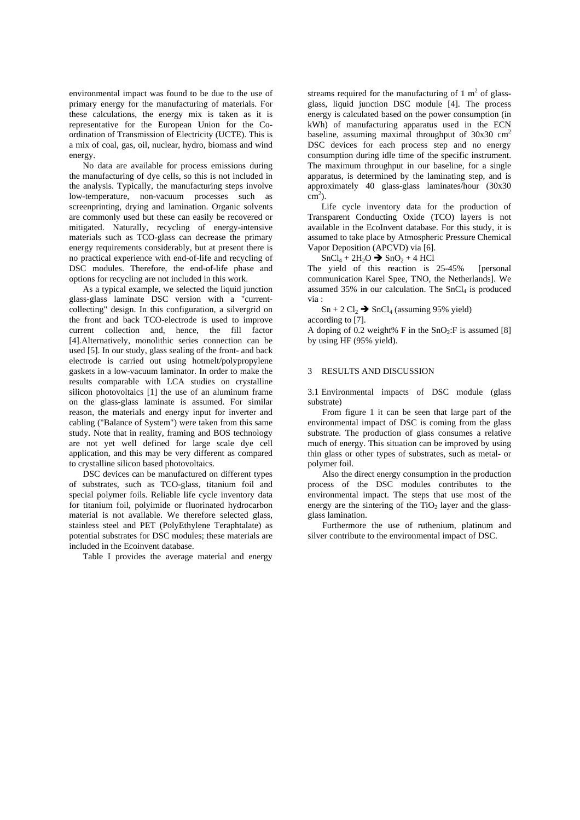environmental impact was found to be due to the use of primary energy for the manufacturing of materials. For these calculations, the energy mix is taken as it is representative for the European Union for the Coordination of Transmission of Electricity (UCTE). This is a mix of coal, gas, oil, nuclear, hydro, biomass and wind energy.

No data are available for process emissions during the manufacturing of dye cells, so this is not included in the analysis. Typically, the manufacturing steps involve low-temperature, non-vacuum processes such as screenprinting, drying and lamination. Organic solvents are commonly used but these can easily be recovered or mitigated. Naturally, recycling of energy-intensive materials such as TCO-glass can decrease the primary energy requirements considerably, but at present there is no practical experience with end-of-life and recycling of DSC modules. Therefore, the end-of-life phase and options for recycling are not included in this work.

As a typical example, we selected the liquid junction glass-glass laminate DSC version with a "currentcollecting" design. In this configuration, a silvergrid on the front and back TCO-electrode is used to improve current collection and, hence, the fill factor [4].Alternatively, monolithic series connection can be used [5]. In our study, glass sealing of the front- and back electrode is carried out using hotmelt/polypropylene gaskets in a low-vacuum laminator. In order to make the results comparable with LCA studies on crystalline silicon photovoltaics [1] the use of an aluminum frame on the glass-glass laminate is assumed. For similar reason, the materials and energy input for inverter and cabling ("Balance of System") were taken from this same study. Note that in reality, framing and BOS technology are not yet well defined for large scale dye cell application, and this may be very different as compared to crystalline silicon based photovoltaics.

DSC devices can be manufactured on different types of substrates, such as TCO-glass, titanium foil and special polymer foils. Reliable life cycle inventory data for titanium foil, polyimide or fluorinated hydrocarbon material is not available. We therefore selected glass, stainless steel and PET (PolyEthylene Teraphtalate) as potential substrates for DSC modules; these materials are included in the Ecoinvent database.

Table I provides the average material and energy

streams required for the manufacturing of 1  $m<sup>2</sup>$  of glassglass, liquid junction DSC module [4]. The process energy is calculated based on the power consumption (in kWh) of manufacturing apparatus used in the ECN baseline, assuming maximal throughput of  $30x30$  cm<sup>2</sup> DSC devices for each process step and no energy consumption during idle time of the specific instrument. The maximum throughput in our baseline, for a single apparatus, is determined by the laminating step, and is approximately 40 glass-glass laminates/hour (30x30  $\overline{\text{cm}}^2$ ).

Life cycle inventory data for the production of Transparent Conducting Oxide (TCO) layers is not available in the EcoInvent database. For this study, it is assumed to take place by Atmospheric Pressure Chemical Vapor Deposition (APCVD) via [6].

#### $SnCl<sub>4</sub> + 2H<sub>2</sub>O \rightarrow SnO<sub>2</sub> + 4 HCl$

The yield of this reaction is 25-45% [personal communication Karel Spee, TNO, the Netherlands]. We assumed  $35\%$  in our calculation. The SnCl<sub>4</sub> is produced via :

 $Sn + 2 Cl<sub>2</sub> \rightarrow SnCl<sub>4</sub> (assuming 95% yield)$ according to [7].

A doping of 0.2 weight% F in the  $SnO<sub>2</sub>:$ F is assumed [8] by using HF (95% yield).

#### 3 RESULTS AND DISCUSSION

3.1 Environmental impacts of DSC module (glass substrate)

From figure 1 it can be seen that large part of the environmental impact of DSC is coming from the glass substrate. The production of glass consumes a relative much of energy. This situation can be improved by using thin glass or other types of substrates, such as metal- or polymer foil.

Also the direct energy consumption in the production process of the DSC modules contributes to the environmental impact. The steps that use most of the energy are the sintering of the  $TiO<sub>2</sub>$  layer and the glassglass lamination.

Furthermore the use of ruthenium, platinum and silver contribute to the environmental impact of DSC.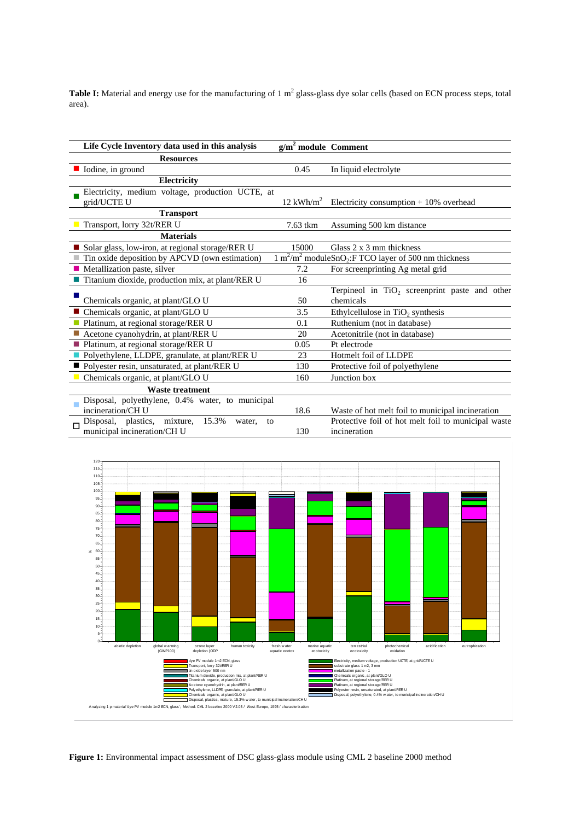**Table I:** Material and energy use for the manufacturing of 1 m<sup>2</sup> glass-glass dye solar cells (based on ECN process steps, total area).

| Life Cycle Inventory data used in this analysis             | $g/m2$ module Comment   |                                                                                            |
|-------------------------------------------------------------|-------------------------|--------------------------------------------------------------------------------------------|
| <b>Resources</b>                                            |                         |                                                                                            |
| lodine, in ground                                           | 0.45                    | In liquid electrolyte                                                                      |
| <b>Electricity</b>                                          |                         |                                                                                            |
| Electricity, medium voltage, production UCTE, at            |                         |                                                                                            |
| grid/UCTE U                                                 | $12$ kWh/m <sup>2</sup> | Electricity consumption + 10% overhead                                                     |
| <b>Transport</b>                                            |                         |                                                                                            |
| Transport, lorry 32t/RER U                                  | 7.63 tkm                | Assuming 500 km distance                                                                   |
| <b>Materials</b>                                            |                         |                                                                                            |
| Solar glass, low-iron, at regional storage/RER U            | 15000                   | Glass 2 x 3 mm thickness                                                                   |
| Tin oxide deposition by APCVD (own estimation)              |                         | $\frac{1 \text{ m}^2}{\text{m}^2}$ moduleSnO <sub>2</sub> :F TCO layer of 500 nm thickness |
| Metallization paste, silver                                 | 7.2                     | For screenprinting Ag metal grid                                                           |
| ■ Titanium dioxide, production mix, at plant/RER U          | 16                      |                                                                                            |
|                                                             |                         | Terpineol in TiO <sub>2</sub> screenprint paste and other                                  |
| Chemicals organic, at plant/GLO U                           | 50                      | chemicals                                                                                  |
| ■ Chemicals organic, at plant/GLO U                         | 3.5                     | Ethylcellulose in $TiO2$ synthesis                                                         |
| Platinum, at regional storage/RER U                         | 0.1                     | Ruthenium (not in database)                                                                |
| Acetone cyanohydrin, at plant/RER U                         | 20                      | Acetonitrile (not in database)                                                             |
| ■ Platinum, at regional storage/RER U                       | 0.05                    | Pt electrode                                                                               |
| Polyethylene, LLDPE, granulate, at plant/RER U              | 23                      | Hotmelt foil of LLDPE                                                                      |
| ■ Polyester resin, unsaturated, at plant/RER U              | 130                     | Protective foil of polyethylene                                                            |
| Chemicals organic, at plant/GLO U                           | 160                     | Junction box                                                                               |
| <b>Waste treatment</b>                                      |                         |                                                                                            |
| Disposal, polyethylene, 0.4% water, to municipal            |                         |                                                                                            |
| incineration/CH U                                           | 18.6                    | Waste of hot melt foil to municipal incineration                                           |
| mixture,<br>15.3%<br>plastics,<br>Disposal,<br>water,<br>to |                         | Protective foil of hot melt foil to municipal waste                                        |
| municipal incineration/CH U                                 | 130                     | incineration                                                                               |



**Figure 1:** Environmental impact assessment of DSC glass-glass module using CML 2 baseline 2000 method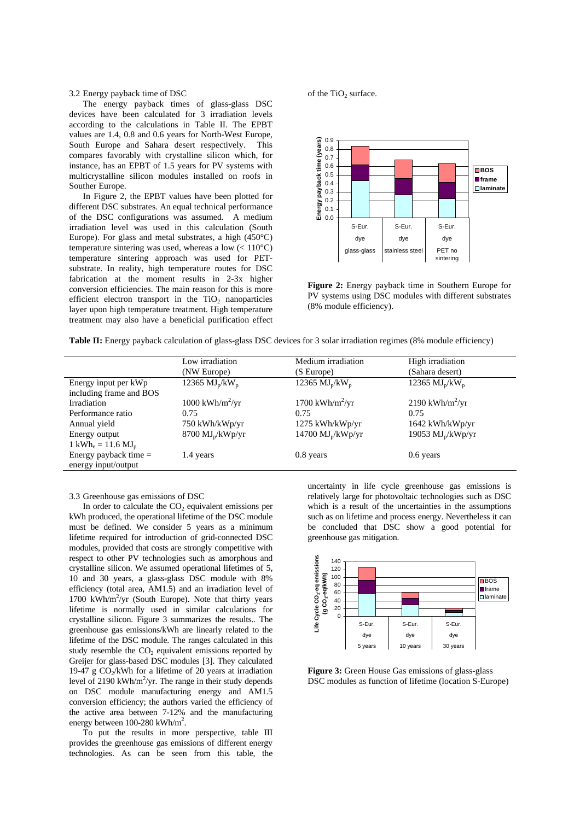3.2 Energy payback time of DSC

The energy payback times of glass-glass DSC devices have been calculated for 3 irradiation levels according to the calculations in Table II. The EPBT values are 1.4, 0.8 and 0.6 years for North-West Europe, South Europe and Sahara desert respectively. This compares favorably with crystalline silicon which, for instance, has an EPBT of 1.5 years for PV systems with multicrystalline silicon modules installed on roofs in Souther Europe.

In Figure 2, the EPBT values have been plotted for different DSC substrates. An equal technical performance of the DSC configurations was assumed. A medium irradiation level was used in this calculation (South Europe). For glass and metal substrates, a high (450°C) temperature sintering was used, whereas a low  $(< 110^{\circ}$ C) temperature sintering approach was used for PETsubstrate. In reality, high temperature routes for DSC fabrication at the moment results in 2-3x higher conversion efficiencies. The main reason for this is more efficient electron transport in the  $TiO<sub>2</sub>$  nanoparticles layer upon high temperature treatment. High temperature treatment may also have a beneficial purification effect of the  $TiO<sub>2</sub>$  surface.



**Figure 2:** Energy payback time in Southern Europe for PV systems using DSC modules with different substrates (8% module efficiency).

| Table II: Energy payback calculation of glass-glass DSC devices for 3 solar irradiation regimes (8% module efficiency) |  |
|------------------------------------------------------------------------------------------------------------------------|--|
|                                                                                                                        |  |

|                                           | Low irradiation                   | Medium irradiation                 | High irradiation              |  |
|-------------------------------------------|-----------------------------------|------------------------------------|-------------------------------|--|
|                                           | (NW Europe)                       | (S Europe)                         | (Sahara desert)               |  |
| Energy input per kWp                      | 12365 $MJp/kWp$                   | 12365 $MJ_{p}/kW_{p}$              | 12365 $MJp/kWp$               |  |
| including frame and BOS                   |                                   |                                    |                               |  |
| Irradiation                               | $1000 \text{ kWh/m}^2/\text{yr}$  | $1700$ kWh/m <sup>2</sup> /yr      | $2190$ kWh/m <sup>2</sup> /yr |  |
| Performance ratio                         | 0.75                              | 0.75                               | 0.75                          |  |
| Annual yield                              | 750 kWh/kWp/yr                    | 1275 kWh/kWp/yr                    | $1642$ kWh/kWp/yr             |  |
| Energy output                             | $8700 \text{ MJ}_p/\text{kWp/yr}$ | $14700 \text{ MJ}_p/\text{kWp/yr}$ | 19053 $MJp/kWp/yr$            |  |
| 1 kWh <sub>e</sub> = 11.6 MJ <sub>p</sub> |                                   |                                    |                               |  |
| Energy payback time $=$                   | 1.4 years                         | $0.8$ years                        | $0.6$ years                   |  |
| energy input/output                       |                                   |                                    |                               |  |

3.3 Greenhouse gas emissions of DSC

In order to calculate the  $CO<sub>2</sub>$  equivalent emissions per kWh produced, the operational lifetime of the DSC module must be defined. We consider 5 years as a minimum lifetime required for introduction of grid-connected DSC modules, provided that costs are strongly competitive with respect to other PV technologies such as amorphous and crystalline silicon. We assumed operational lifetimes of 5, 10 and 30 years, a glass-glass DSC module with 8% efficiency (total area, AM1.5) and an irradiation level of 1700 kWh/m<sup>2</sup>/yr (South Europe). Note that thirty years lifetime is normally used in similar calculations for crystalline silicon. Figure 3 summarizes the results.. The greenhouse gas emissions/kWh are linearly related to the lifetime of the DSC module. The ranges calculated in this study resemble the  $CO<sub>2</sub>$  equivalent emissions reported by Greijer for glass-based DSC modules [3]. They calculated 19-47 g  $CO<sub>2</sub>/kWh$  for a lifetime of 20 years at irradiation level of 2190 kWh/ $m^2$ /yr. The range in their study depends on DSC module manufacturing energy and AM1.5 conversion efficiency; the authors varied the efficiency of the active area between 7-12% and the manufacturing energy between  $100-280$  kWh/m<sup>2</sup>.

To put the results in more perspective, table III provides the greenhouse gas emissions of different energy technologies. As can be seen from this table, the

uncertainty in life cycle greenhouse gas emissions is relatively large for photovoltaic technologies such as DSC which is a result of the uncertainties in the assumptions such as on lifetime and process energy. Nevertheless it can be concluded that DSC show a good potential for greenhouse gas mitigation.



**Figure 3:** Green House Gas emissions of glass-glass DSC modules as function of lifetime (location S-Europe)